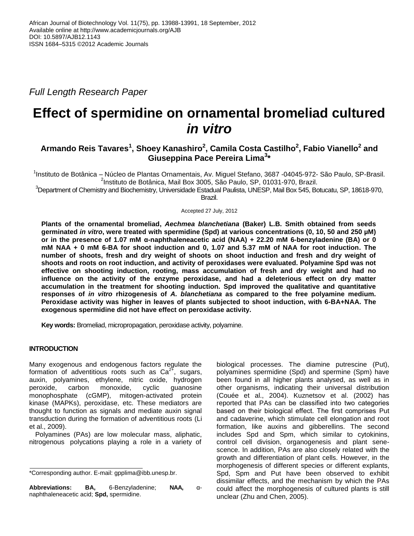*Full Length Research Paper*

# **Effect of spermidine on ornamental bromeliad cultured** *in vitro*

## **Armando Reis Tavares<sup>1</sup> , Shoey Kanashiro<sup>2</sup> , Camila Costa Castilho<sup>2</sup> , Fabio Vianello<sup>2</sup> and Giuseppina Pace Pereira Lima<sup>3</sup> \***

<sup>1</sup>Instituto de Botânica – Núcleo de Plantas Ornamentais, Av. Miguel Stefano, 3687 -04045-972- São Paulo, SP-Brasil. 2 Instituto de Botânica, Mail Box 3005, São Paulo, SP, 01031-970, Brazil.

 ${}^{3}$ Department of Chemistry and Biochemistry, Universidade Estadual Paulista, UNESP, Mail Box 545, Botucatu, SP, 18618-970, Brazil.

Accepted 27 July, 2012

**Plants of the ornamental bromeliad,** *Aechmea blanchetiana* **(Baker) L.B. Smith obtained from seeds germinated** *in vitro***, were treated with spermidine (Spd) at various concentrations (0, 10, 50 and 250 µM) or in the presence of 1.07 mM α-naphthaleneacetic acid (NAA) + 22.20 mM 6-benzyladenine (BA) or 0 mM NAA + 0 mM 6-BA for shoot induction and 0, 1.07 and 5.37 mM of NAA for root induction. The number of shoots, fresh and dry weight of shoots on shoot induction and fresh and dry weight of shoots and roots on root induction, and activity of peroxidases were evaluated. Polyamine Spd was not effective on shooting induction, rooting, mass accumulation of fresh and dry weight and had no influence on the activity of the enzyme peroxidase, and had a deleterious effect on dry matter accumulation in the treatment for shooting induction. Spd improved the qualitative and quantitative responses of** *in vitro* **rhizogenesis of** *A. blanchetiana* **as compared to the free polyamine medium. Peroxidase activity was higher in leaves of plants subjected to shoot induction, with 6-BA+NAA. The exogenous spermidine did not have effect on peroxidase activity.** 

**Key words:** Bromeliad, micropropagation, peroxidase activity, polyamine.

### **INTRODUCTION**

Many exogenous and endogenous factors regulate the formation of adventitious roots such as  $Ca<sup>2+</sup>$ , sugars, auxin, polyamines, ethylene, nitric oxide, hydrogen peroxide, carbon monoxide, cyclic guanosine monophosphate (cGMP), mitogen-activated protein kinase (MAPKs), peroxidase, etc. These mediators are thought to function as signals and mediate auxin signal transduction during the formation of adventitious roots (Li et al., 2009).

Polyamines (PAs) are low molecular mass, aliphatic, nitrogenous polycations playing a role in a variety of

**Abbreviations: BA,** 6-Benzyladenine; **NAA,** αnaphthaleneacetic acid; **Spd,** spermidine.

biological processes. The diamine putrescine (Put), polyamines spermidine (Spd) and spermine (Spm) have been found in all higher plants analysed, as well as in other organisms, indicating their universal distribution (Couée et al., 2004). Kuznetsov et al. (2002) has reported that PAs can be classified into two categories based on their biological effect. The first comprises Put and cadaverine, which stimulate cell elongation and root formation, like auxins and gibberellins. The second includes Spd and Spm, which similar to cytokinins, control cell division, organogenesis and plant senescence. In addition, PAs are also closely related with the growth and differentiation of plant cells. However, in the morphogenesis of different species or different explants, Spd, Spm and Put have been observed to exhibit dissimilar effects, and the mechanism by which the PAs could affect the morphogenesis of cultured plants is still unclear (Zhu and Chen, 2005).

<sup>\*</sup>Corresponding author. E-mail: gpplima@ibb.unesp.br.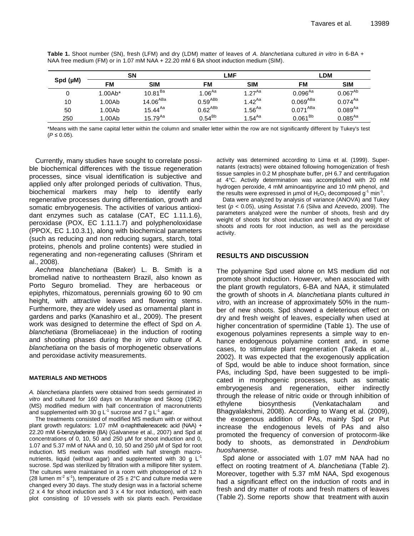|                  |           | SΝ                   | LMF                |                  | LDM           |              |  |
|------------------|-----------|----------------------|--------------------|------------------|---------------|--------------|--|
| $Spd$ ( $\mu$ M) | FM        | <b>SIM</b>           | FM                 | <b>SIM</b>       | FM            | <b>SIM</b>   |  |
| 0                | $1.00Ab*$ | $10.81^{Ba}$         | 1.06 <sup>Aa</sup> | $1.27^{Aa}$      | $0.096^{Aa}$  | $0.067^{Ab}$ |  |
| 10               | 1.00Ab    | 14.06 <sup>ABA</sup> | $0.59^{ABb}$       | $1.42^{Aa}$      | $0.069^{ABa}$ | $0.074^{Aa}$ |  |
| 50               | 1.00Ab    | $15.44^{Aa}$         | $0.62^{ABb}$       | $1.56^{Aa}$      | $0.071^{ABa}$ | $0.089^{Aa}$ |  |
| 250              | 1.00Ab    | $15.79^{Aa}$         | $0.54^{Bb}$        | 1.54 $^{\sf Aa}$ | $0.061^{Bb}$  | $0.085^{Aa}$ |  |

**Table 1.** Shoot number (SN), fresh (LFM) and dry (LDM) matter of leaves of *A. blanchetiana* cultured *in vitro* in 6-BA + NAA free medium (FM) or in 1.07 mM NAA + 22.20 mM 6 BA shoot induction medium (SIM).

\*Means with the same capital letter within the column and smaller letter within the row are not significantly different by Tukey's test (*P* ≤ 0.05).

Currently, many studies have sought to correlate possible biochemical differences with the tissue regeneration processes, since visual identification is subjective and applied only after prolonged periods of cultivation. Thus, biochemical markers may help to identify early regenerative processes during differentiation, growth and somatic embryogenesis. The activities of various antioxidant enzymes such as catalase (CAT, EC 1.11.1.6), peroxidase (POX, EC 1.11.1.7) and polyphenoloxidase (PPOX, EC 1.10.3.1), along with biochemical parameters (such as reducing and non reducing sugars, starch, total proteins, phenols and proline contents) were studied in regenerating and non-regenerating calluses (Shriram et al., 2008).

*Aechmea blanchetiana* (Baker) L. B. Smith is a bromeliad native to northeastern Brazil, also known as Porto Seguro bromeliad. They are herbaceous or epiphytes, rhizomatous, perennials growing 60 to 90 cm height, with attractive leaves and flowering stems. Furthermore, they are widely used as ornamental plant in gardens and parks (Kanashiro et al., 2009). The present work was designed to determine the effect of Spd on *A. blanchetiana* (Bromeliaceae) in the induction of rooting and shooting phases during the *in vitro* culture of *A. blanchetiana* on the basis of morphogenetic observations and peroxidase activity measurements.

#### **MATERIALS AND METHODS**

*A. blanchetiana* plantlets were obtained from seeds germinated *in vitro* and cultured for 160 days on Murashige and Skoog (1962) (MS) modified medium with half concentration of macronutrients and supplemented with 30 g L<sup>-1</sup> sucrose and 7 g L<sup>-1</sup> agar.

The treatments consisted of modified MS medium with or without plant growth regulators: 1.07 mM α-naphthaleneacetic acid (NAA) + 22.20 mM 6-benzyladenine (BA) (Galvanese et al., 2007) and Spd at concentrations of 0, 10, 50 and 250 µM for shoot induction and 0, 1.07 and 5.37 mM of NAA and 0, 10, 50 and 250 µM of Spd for root induction. MS medium was modified with half strength macronutrients, liquid (without agar) and supplemented with 30 g  $L^{-1}$ sucrose. Spd was sterilized by filtration with a millipore filter system. The cultures were maintained in a room with photoperiod of 12 h (28 lumen m<sup>-2</sup> s<sup>-1</sup>), temperature of 25  $\pm$  2°C and culture media were changed every 30 days. The study design was in a factorial scheme  $(2 \times 4$  for shoot induction and  $3 \times 4$  for root induction), with each plot consisting of 10 vessels with six plants each. Peroxidase

activity was determined according to Lima et al. (1999). Supernatants (extracts) were obtained following homogenization of fresh tissue samples in 0.2 M phosphate buffer, pH 6.7 and centrifugation at 4°C. Activity determination was accomplished with 20 mM hydrogen peroxide, 4 mM aminoantipyrine and 10 mM phenol, and the results were expressed in µmol of  $H_2O_2$  decomposed g<sup>-1</sup> min<sup>-1</sup>.

Data were analyzed by analysis of variance (ANOVA) and Tukey test (*p* < 0.05), using Assistat 7.6 (Silva and Azevedo, 2009). The parameters analyzed were the number of shoots, fresh and dry weight of shoots for shoot induction and fresh and dry weight of shoots and roots for root induction, as well as the peroxidase activity.

### **RESULTS AND DISCUSSION**

The polyamine Spd used alone on MS medium did not promote shoot induction. However, when associated with the plant growth regulators, 6-BA and NAA, it stimulated the growth of shoots in *A. blanchetiana* plants cultured *in vitro*, with an increase of approximately 50% in the number of new shoots. Spd showed a deleterious effect on dry and fresh weight of leaves, especially when used at higher concentration of spermidine (Table 1). The use of exogenous polyamines represents a simple way to enhance endogenous polyamine content and, in some cases, to stimulate plant regeneration (Takeda et al., 2002). It was expected that the exogenously application of Spd, would be able to induce shoot formation, since PAs, including Spd, have been suggested to be implicated in morphogenic processes, such as somatic embryogenesis and regeneration, either indirectly through the release of nitric oxide or through inhibition of ethylene biosynthesis (Venkatachalam and Bhagyalakshmi, 2008). According to Wang et al. (2009), the exogenous addition of PAs, mainly Spd or Put increase the endogenous levels of PAs and also promoted the frequency of conversion of protocorm-like body to shoots, as demonstrated in *Dendrobium huoshanense*.

Spd alone or associated with 1.07 mM NAA had no effect on rooting treatment of *A. blanchetiana* (Table 2). Moreover, together with 5.37 mM NAA, Spd exogenous had a significant effect on the induction of roots and in fresh and dry matter of roots and fresh matters of leaves (Table 2). Some reports show that treatment with auxin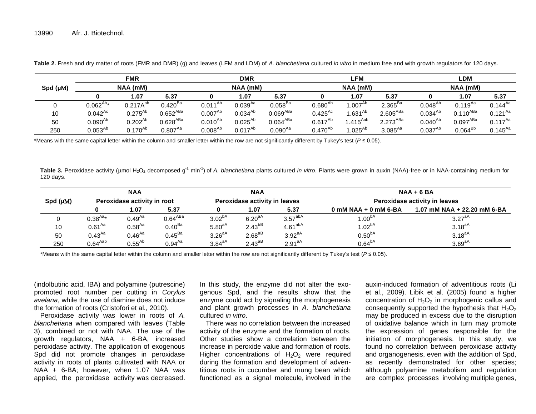|               | <b>FMR</b>    |               |               | <b>DMR</b>   |              |                      | LFM          |                    |               | <b>LDM</b>   |                      |              |
|---------------|---------------|---------------|---------------|--------------|--------------|----------------------|--------------|--------------------|---------------|--------------|----------------------|--------------|
| Spd $(\mu M)$ | NAA (mM)      |               |               | NAA (mM)     |              |                      | NAA (mM)     |                    |               | NAA (mM)     |                      |              |
|               |               | 1.07          | 5.37          |              | 1.07         | 5.37                 | 0            | 1.07               | 5.37          |              | 1.07                 | 5.37         |
| $\Omega$<br>v | $0.062^{Ab*}$ | $0.217A^{ab}$ | $0.420^{Ba}$  | $0.011^{Ab}$ | $0.039^{Aa}$ | $0.058^{Ba}$         | $0.680^{Ab}$ | .007 <sup>Ab</sup> | $2.365^{Ba}$  | $0.048^{Ab}$ | $0.119^{Aa}$         | $0.144^{Aa}$ |
| 10            | $0.042^{Ac}$  | $0.275^{Ab}$  | $0.652^{ABa}$ | $0.007^{Ab}$ | $0.034^{Ab}$ | $0.069^{ABa}$        | $0.425^{Ac}$ | $.631^{Ab}$        | $2.605^{ABa}$ | $0.034^{Ab}$ | $0.110^{ABa}$        | $0.121^{Aa}$ |
| 50            | $0.090^{Ab}$  | $0.202^{Ab}$  | $0.628^{ABa}$ | $0.010^{Ab}$ | $0.025^{Ab}$ | 0.064 <sup>ABa</sup> | $0.617^{Ab}$ | $1.415^{Aab}$      | $2.273^{ABa}$ | $0.040^{Ab}$ | 0.097 <sup>ABa</sup> | $0.117^{Aa}$ |
| 250           | $0.053^{Ab}$  | $0.170^{Ab}$  | $0.807^{Aa}$  | $0.008^{Ab}$ | $0.017^{Ab}$ | $0.090^{Aa}$         | $0.470^{Ab}$ | $1.025^{Ab}$       | $3.085^{Aa}$  | $0.037^{Ab}$ | $0.064^{Bb}$         | $0.145^{Aa}$ |

**Table 2.** Fresh and dry matter of roots (FMR and DMR) (g) and leaves (LFM and LDM) of *A. blanchetiana* cultured *in vitro* in medium free and with growth regulators for 120 days.

\*Means with the same capital letter within the column and smaller letter within the row are not significantly different by Tukey's test (*P* ≤ 0.05).

Table 3. Peroxidase activity (µmol H<sub>2</sub>O<sub>2</sub> decomposed g<sup>-1</sup> min<sup>-1</sup>) of *A. blanchetiana* plants cultured *in vitro*. Plants were grown in auxin (NAA)-free or in NAA-containing medium for 120 days.

|          | <b>NAA</b>                  |             |                     | <b>NAA</b><br>Peroxidase activity in leaves |             |                     | $NAA + 6 BA$<br>Peroxidase activity in leaves |                             |  |
|----------|-----------------------------|-------------|---------------------|---------------------------------------------|-------------|---------------------|-----------------------------------------------|-----------------------------|--|
| Spd (µM) | Peroxidase activity in root |             |                     |                                             |             |                     |                                               |                             |  |
|          |                             | 1.07        | 5.37                |                                             | 1.07        | 5.37                | $0$ mM NAA + 0 mM 6-BA                        | 1.07 mM NAA + 22.20 mM 6-BA |  |
|          | $0.38^{Aa*}$                | $0.49^{Aa}$ | 0.64 <sup>ABa</sup> | $3.02^{bA}$                                 | $6.20^{aA}$ | 3.57 <sup>abA</sup> | $1.00^{bA}$                                   | 3.27 <sup>aA</sup>          |  |
| 10       | $0.61^{Aa}$                 | $0.58^{Aa}$ | $0.40^{Ba}$         | $5.80^{aA}$                                 | $2.43^{bB}$ | $4.61^{abA}$        | 1.02 <sup>bA</sup>                            | $3.18^{aA}$                 |  |
| 50       | $0.43^{Aa}$                 | $0.46^{Aa}$ | $0.45^{Ba}$         | $3.26^{aA}$                                 | $2.68^{aB}$ | $3.92aA}$           | 0.50 <sup>bA</sup>                            | $3.18^{aA}$                 |  |
| 250      | $0.64^{Aab}$                | $0.55^{Ab}$ | $0.94^{Aa}$         | $3.84^{aA}$                                 | $2.43^{aB}$ | 2.91 <sup>aA</sup>  | 0.64 <sup>bA</sup>                            | $3.69aA}$                   |  |

\*Means with the same capital letter within the column and smaller letter within the row are not significantly different by Tukey's test (*P* ≤ 0.05).

(indolbutiric acid, IBA) and polyamine (putrescine) promoted root number per cutting in *Corylus avelana*, while the use of diamine does not induce the formation of roots (Cristofori et al., 2010).

Peroxidase activity was lower in roots of *A. blanchetiana* when compared with leaves (Table 3), combined or not with NAA. The use of the growth regulators, NAA + 6-BA, increased peroxidase activity. The application of exogenous Spd did not promote changes in peroxidase activity in roots of plants cultivated with NAA or NAA + 6-BA; however, when 1.07 NAA was applied, the peroxidase activity was decreased. In this study, the enzyme did not alter the exogenous Spd, and the results show that the enzyme could act by signaling the morphogenesis and plant growth processes in *A. blanchetiana* cultured *in vitro*.

There was no correlation between the increased activity of the enzyme and the formation of roots. Other studies show a correlation between the increase in peroxide value and formation of roots. Higher concentrations of  $H_2O_2$  were required during the formation and development of adventitious roots in cucumber and mung bean which functioned as a signal molecule, involved in the

auxin-induced formation of adventitious roots (Li et al., 2009). Libik et al. (2005) found a higher concentration of  $H_2O_2$  in morphogenic callus and consequently supported the hypothesis that  $H_2O_2$ may be produced in excess due to the disruption of oxidative balance which in turn may promote the expression of genes responsible for the initiation of morphogenesis. In this study, we found no correlation between peroxidase activity and organogenesis, even with the addition of Spd, as recently demonstrated for other species; although polyamine metabolism and regulation are complex processes involving multiple genes,